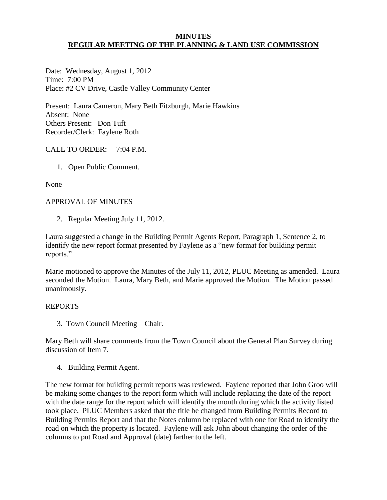### **MINUTES REGULAR MEETING OF THE PLANNING & LAND USE COMMISSION**

Date: Wednesday, August 1, 2012 Time: 7:00 PM Place: #2 CV Drive, Castle Valley Community Center

Present: Laura Cameron, Mary Beth Fitzburgh, Marie Hawkins Absent: None Others Present: Don Tuft Recorder/Clerk: Faylene Roth

## CALL TO ORDER: 7:04 P.M.

1. Open Public Comment.

None

### APPROVAL OF MINUTES

2. Regular Meeting July 11, 2012.

Laura suggested a change in the Building Permit Agents Report, Paragraph 1, Sentence 2, to identify the new report format presented by Faylene as a "new format for building permit reports."

Marie motioned to approve the Minutes of the July 11, 2012, PLUC Meeting as amended. Laura seconded the Motion. Laura, Mary Beth, and Marie approved the Motion. The Motion passed unanimously.

### REPORTS

3. Town Council Meeting – Chair.

Mary Beth will share comments from the Town Council about the General Plan Survey during discussion of Item 7.

4. Building Permit Agent.

The new format for building permit reports was reviewed. Faylene reported that John Groo will be making some changes to the report form which will include replacing the date of the report with the date range for the report which will identify the month during which the activity listed took place. PLUC Members asked that the title be changed from Building Permits Record to Building Permits Report and that the Notes column be replaced with one for Road to identify the road on which the property is located. Faylene will ask John about changing the order of the columns to put Road and Approval (date) farther to the left.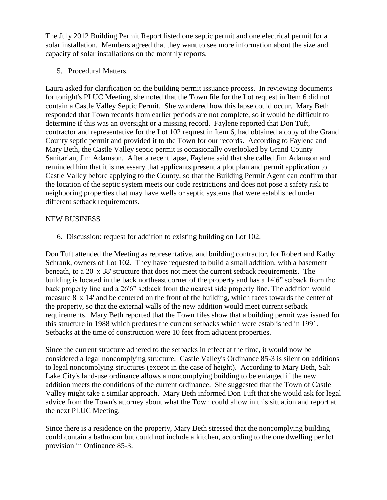The July 2012 Building Permit Report listed one septic permit and one electrical permit for a solar installation. Members agreed that they want to see more information about the size and capacity of solar installations on the monthly reports.

5. Procedural Matters.

Laura asked for clarification on the building permit issuance process. In reviewing documents for tonight's PLUC Meeting, she noted that the Town file for the Lot request in Item 6 did not contain a Castle Valley Septic Permit. She wondered how this lapse could occur. Mary Beth responded that Town records from earlier periods are not complete, so it would be difficult to determine if this was an oversight or a missing record. Faylene reported that Don Tuft, contractor and representative for the Lot 102 request in Item 6, had obtained a copy of the Grand County septic permit and provided it to the Town for our records. According to Faylene and Mary Beth, the Castle Valley septic permit is occasionally overlooked by Grand County Sanitarian, Jim Adamson. After a recent lapse, Faylene said that she called Jim Adamson and reminded him that it is necessary that applicants present a plot plan and permit application to Castle Valley before applying to the County, so that the Building Permit Agent can confirm that the location of the septic system meets our code restrictions and does not pose a safety risk to neighboring properties that may have wells or septic systems that were established under different setback requirements.

### NEW BUSINESS

6. Discussion: request for addition to existing building on Lot 102.

Don Tuft attended the Meeting as representative, and building contractor, for Robert and Kathy Schrank, owners of Lot 102. They have requested to build a small addition, with a basement beneath, to a 20' x 38' structure that does not meet the current setback requirements. The building is located in the back northeast corner of the property and has a 14'6" setback from the back property line and a 26'6" setback from the nearest side property line. The addition would measure 8' x 14' and be centered on the front of the building, which faces towards the center of the property, so that the external walls of the new addition would meet current setback requirements. Mary Beth reported that the Town files show that a building permit was issued for this structure in 1988 which predates the current setbacks which were established in 1991. Setbacks at the time of construction were 10 feet from adjacent properties.

Since the current structure adhered to the setbacks in effect at the time, it would now be considered a legal noncomplying structure. Castle Valley's Ordinance 85-3 is silent on additions to legal noncomplying structures (except in the case of height). According to Mary Beth, Salt Lake City's land-use ordinance allows a noncomplying building to be enlarged if the new addition meets the conditions of the current ordinance. She suggested that the Town of Castle Valley might take a similar approach. Mary Beth informed Don Tuft that she would ask for legal advice from the Town's attorney about what the Town could allow in this situation and report at the next PLUC Meeting.

Since there is a residence on the property, Mary Beth stressed that the noncomplying building could contain a bathroom but could not include a kitchen, according to the one dwelling per lot provision in Ordinance 85-3.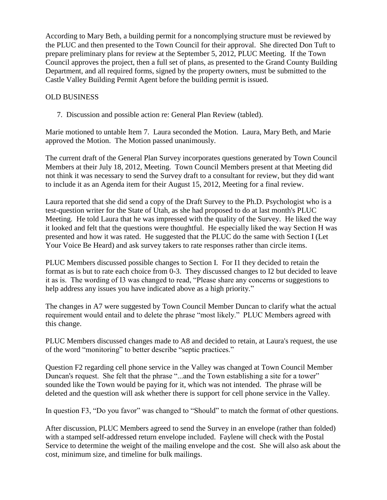According to Mary Beth, a building permit for a noncomplying structure must be reviewed by the PLUC and then presented to the Town Council for their approval. She directed Don Tuft to prepare preliminary plans for review at the September 5, 2012, PLUC Meeting. If the Town Council approves the project, then a full set of plans, as presented to the Grand County Building Department, and all required forms, signed by the property owners, must be submitted to the Castle Valley Building Permit Agent before the building permit is issued.

# OLD BUSINESS

7. Discussion and possible action re: General Plan Review (tabled).

Marie motioned to untable Item 7. Laura seconded the Motion. Laura, Mary Beth, and Marie approved the Motion. The Motion passed unanimously.

The current draft of the General Plan Survey incorporates questions generated by Town Council Members at their July 18, 2012, Meeting. Town Council Members present at that Meeting did not think it was necessary to send the Survey draft to a consultant for review, but they did want to include it as an Agenda item for their August 15, 2012, Meeting for a final review.

Laura reported that she did send a copy of the Draft Survey to the Ph.D. Psychologist who is a test-question writer for the State of Utah, as she had proposed to do at last month's PLUC Meeting. He told Laura that he was impressed with the quality of the Survey. He liked the way it looked and felt that the questions were thoughtful. He especially liked the way Section H was presented and how it was rated. He suggested that the PLUC do the same with Section I (Let Your Voice Be Heard) and ask survey takers to rate responses rather than circle items.

PLUC Members discussed possible changes to Section I. For I1 they decided to retain the format as is but to rate each choice from 0-3. They discussed changes to I2 but decided to leave it as is. The wording of I3 was changed to read, "Please share any concerns or suggestions to help address any issues you have indicated above as a high priority."

The changes in A7 were suggested by Town Council Member Duncan to clarify what the actual requirement would entail and to delete the phrase "most likely." PLUC Members agreed with this change.

PLUC Members discussed changes made to A8 and decided to retain, at Laura's request, the use of the word "monitoring" to better describe "septic practices."

Question F2 regarding cell phone service in the Valley was changed at Town Council Member Duncan's request. She felt that the phrase "...and the Town establishing a site for a tower" sounded like the Town would be paying for it, which was not intended. The phrase will be deleted and the question will ask whether there is support for cell phone service in the Valley.

In question F3, "Do you favor" was changed to "Should" to match the format of other questions.

After discussion, PLUC Members agreed to send the Survey in an envelope (rather than folded) with a stamped self-addressed return envelope included. Faylene will check with the Postal Service to determine the weight of the mailing envelope and the cost. She will also ask about the cost, minimum size, and timeline for bulk mailings.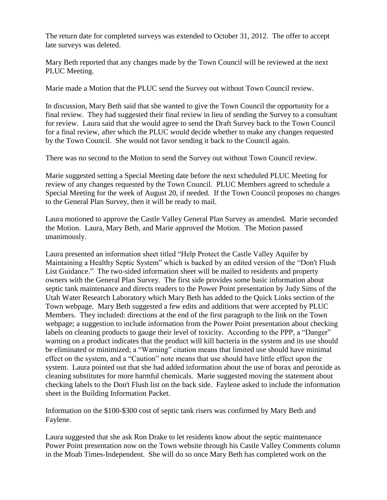The return date for completed surveys was extended to October 31, 2012. The offer to accept late surveys was deleted.

Mary Beth reported that any changes made by the Town Council will be reviewed at the next PLUC Meeting.

Marie made a Motion that the PLUC send the Survey out without Town Council review.

In discussion, Mary Beth said that she wanted to give the Town Council the opportunity for a final review. They had suggested their final review in lieu of sending the Survey to a consultant for review. Laura said that she would agree to send the Draft Survey back to the Town Council for a final review, after which the PLUC would decide whether to make any changes requested by the Town Council. She would not favor sending it back to the Council again.

There was no second to the Motion to send the Survey out without Town Council review.

Marie suggested setting a Special Meeting date before the next scheduled PLUC Meeting for review of any changes requested by the Town Council. PLUC Members agreed to schedule a Special Meeting for the week of August 20, if needed. If the Town Council proposes no changes to the General Plan Survey, then it will be ready to mail.

Laura motioned to approve the Castle Valley General Plan Survey as amended. Marie seconded the Motion. Laura, Mary Beth, and Marie approved the Motion. The Motion passed unanimously.

Laura presented an information sheet titled "Help Protect the Castle Valley Aquifer by Maintaining a Healthy Septic System" which is backed by an edited version of the "Don't Flush List Guidance." The two-sided information sheet will be mailed to residents and property owners with the General Plan Survey. The first side provides some basic information about septic tank maintenance and directs readers to the Power Point presentation by Judy Sims of the Utah Water Research Laboratory which Mary Beth has added to the Quick Links section of the Town webpage. Mary Beth suggested a few edits and additions that were accepted by PLUC Members. They included: directions at the end of the first paragraph to the link on the Town webpage; a suggestion to include information from the Power Point presentation about checking labels on cleaning products to gauge their level of toxicity. According to the PPP, a "Danger" warning on a product indicates that the product will kill bacteria in the system and its use should be eliminated or minimized; a "Warning" citation means that limited use should have minimal effect on the system, and a "Caution" note means that use should have little effect upon the system. Laura pointed out that she had added information about the use of borax and peroxide as cleaning substitutes for more harmful chemicals. Marie suggested moving the statement about checking labels to the Don't Flush list on the back side. Faylene asked to include the information sheet in the Building Information Packet.

Information on the \$100-\$300 cost of septic tank risers was confirmed by Mary Beth and Faylene.

Laura suggested that she ask Ron Drake to let residents know about the septic maintenance Power Point presentation now on the Town website through his Castle Valley Comments column in the Moab Times-Independent. She will do so once Mary Beth has completed work on the